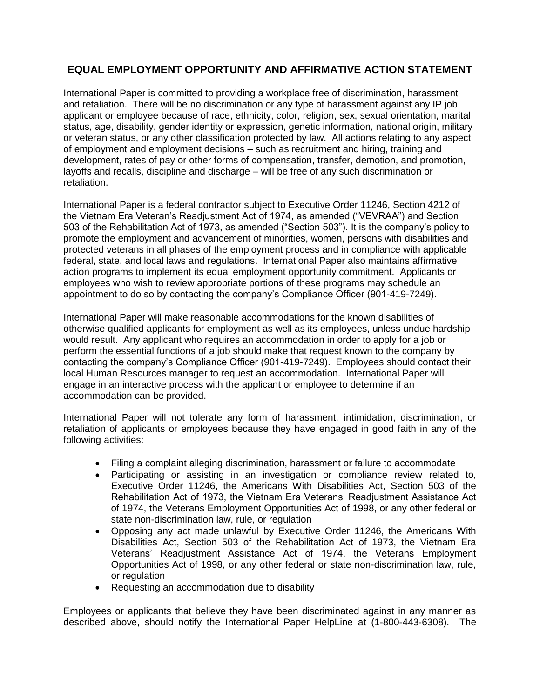## **EQUAL EMPLOYMENT OPPORTUNITY AND AFFIRMATIVE ACTION STATEMENT**

International Paper is committed to providing a workplace free of discrimination, harassment and retaliation. There will be no discrimination or any type of harassment against any IP job applicant or employee because of race, ethnicity, color, religion, sex, sexual orientation, marital status, age, disability, gender identity or expression, genetic information, national origin, military or veteran status, or any other classification protected by law. All actions relating to any aspect of employment and employment decisions – such as recruitment and hiring, training and development, rates of pay or other forms of compensation, transfer, demotion, and promotion, layoffs and recalls, discipline and discharge – will be free of any such discrimination or retaliation.

International Paper is a federal contractor subject to Executive Order 11246, Section 4212 of the Vietnam Era Veteran's Readjustment Act of 1974, as amended ("VEVRAA") and Section 503 of the Rehabilitation Act of 1973, as amended ("Section 503"). It is the company's policy to promote the employment and advancement of minorities, women, persons with disabilities and protected veterans in all phases of the employment process and in compliance with applicable federal, state, and local laws and regulations. International Paper also maintains affirmative action programs to implement its equal employment opportunity commitment. Applicants or employees who wish to review appropriate portions of these programs may schedule an appointment to do so by contacting the company's Compliance Officer (901-419-7249).

International Paper will make reasonable accommodations for the known disabilities of otherwise qualified applicants for employment as well as its employees, unless undue hardship would result. Any applicant who requires an accommodation in order to apply for a job or perform the essential functions of a job should make that request known to the company by contacting the company's Compliance Officer (901-419-7249). Employees should contact their local Human Resources manager to request an accommodation. International Paper will engage in an interactive process with the applicant or employee to determine if an accommodation can be provided.

International Paper will not tolerate any form of harassment, intimidation, discrimination, or retaliation of applicants or employees because they have engaged in good faith in any of the following activities:

- Filing a complaint alleging discrimination, harassment or failure to accommodate
- Participating or assisting in an investigation or compliance review related to, Executive Order 11246, the Americans With Disabilities Act, Section 503 of the Rehabilitation Act of 1973, the Vietnam Era Veterans' Readjustment Assistance Act of 1974, the Veterans Employment Opportunities Act of 1998, or any other federal or state non-discrimination law, rule, or regulation
- Opposing any act made unlawful by Executive Order 11246, the Americans With Disabilities Act, Section 503 of the Rehabilitation Act of 1973, the Vietnam Era Veterans' Readjustment Assistance Act of 1974, the Veterans Employment Opportunities Act of 1998, or any other federal or state non-discrimination law, rule, or regulation
- Requesting an accommodation due to disability

Employees or applicants that believe they have been discriminated against in any manner as described above, should notify the International Paper HelpLine at (1-800-443-6308). The